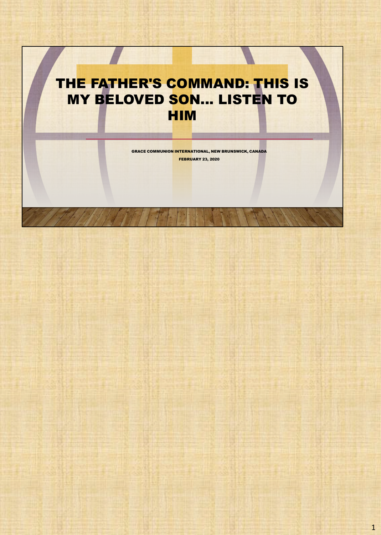# THE FATHER'S COMMAND: THIS IS MY BELOVED SON... LISTEN TO HIM

GRACE COMMUNION INTERNATIONAL, NEW BRUNSWICK, CANADA FEBRUARY 23, 2020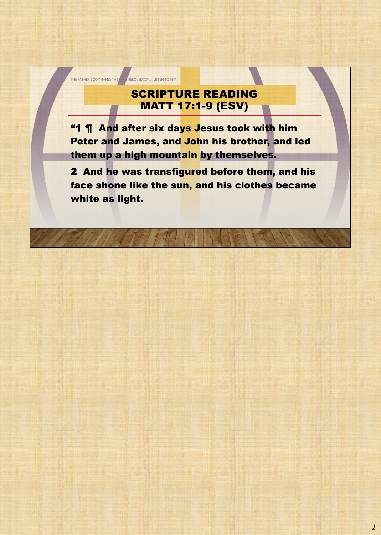# SCRIPTURE READING MATT 17:1-9 (ESV)

THE FATHER'S COMMAND: THIS BELOVED SON... LISTEN TO HIM

"1 **¶** And after six days Jesus took with him Peter and James, and John his brother, and led them up a high mountain by themselves.

2 And he was transfigured before them, and his face shone like the sun, and his clothes became white as light.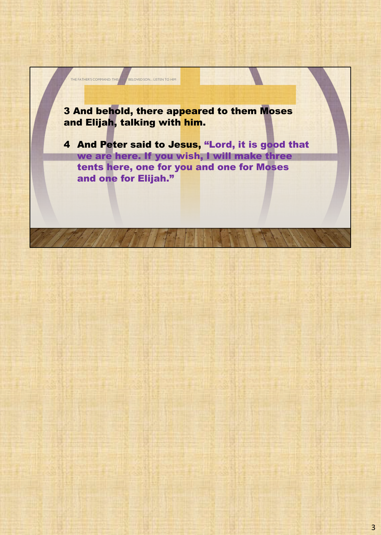

THE FATHER'S COMMAND: THIS BELOVED SON... LISTEN TO HIM

4 And Peter said to Jesus, "Lord, it is good that we are here. If you wish, I will make three tents here, one for you and one for Moses and one for Elijah."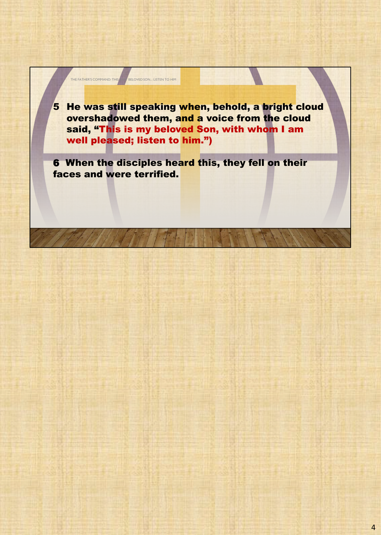

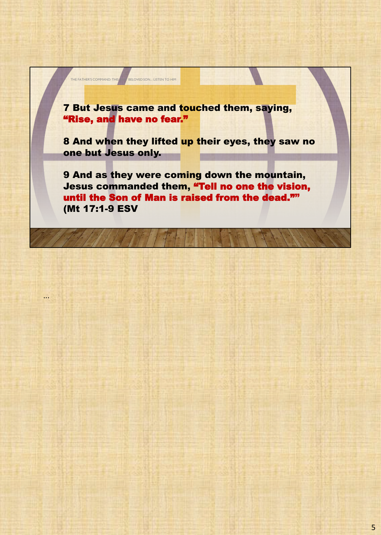7 But Jesus came and touched them, saying, "Rise, and have no fear."

THE FATHER'S COMMAND: THIS BELOVED SON... LISTEN TO HIM

...

8 And when they lifted up their eyes, they saw no one but Jesus only.

9 And as they were coming down the mountain, Jesus commanded them, "Tell no one the vision, until the Son of Man is raised from the dead."" (Mt 17:1-9 ESV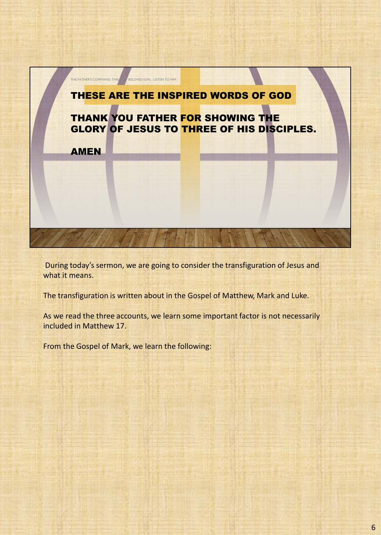

During today's sermon, we are going to consider the transfiguration of Jesus and what it means.

The transfiguration is written about in the Gospel of Matthew, Mark and Luke.

As we read the three accounts, we learn some important factor is not necessarily included in Matthew 17.

From the Gospel of Mark, we learn the following: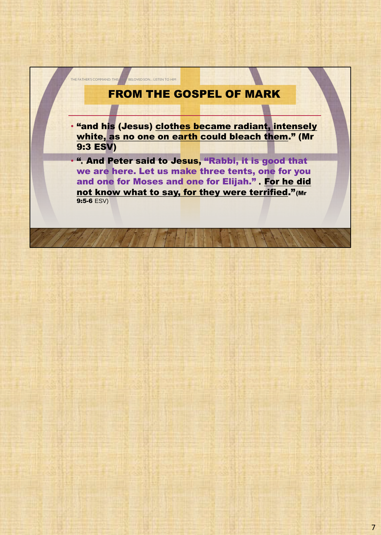

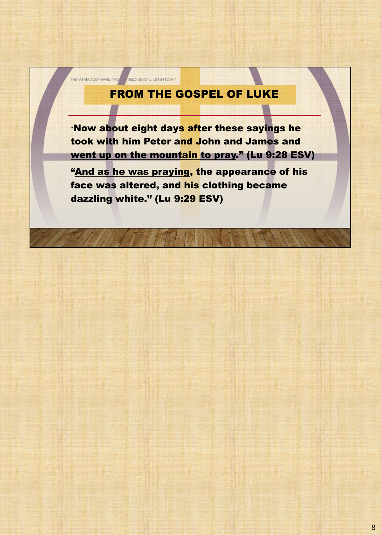## FROM THE GOSPEL OF LUKE

THE FATHER'S COMMAND: THIS BELOVED SON... LISTEN TO HIM

"Now about eight days after these sayings he took with him Peter and John and James and went up on the mountain to pray." (Lu 9:28 ESV)

"And as he was praying, the appearance of his face was altered, and his clothing became dazzling white." (Lu 9:29 ESV)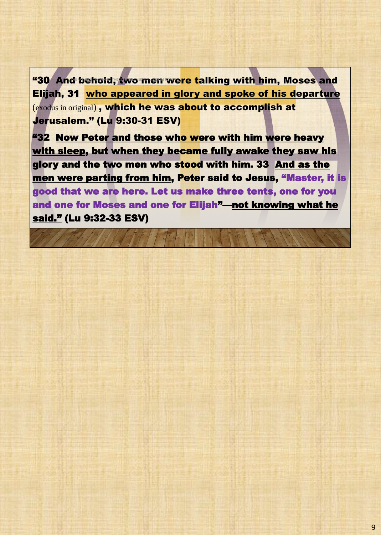"30 And behold, two men were talking with him, Moses and Elijah, 31 who appeared in glory and spoke of his departure (exodus in original) , which he was about to accomplish at Jerusalem." (Lu 9:30-31 ESV)

"32 Now Peter and those who were with him were heavy with sleep, but when they became fully awake they saw his glory and the two men who stood with him. 33 And as the men were parting from him, Peter said to Jesus, "Master, it is good that we are here. Let us make three tents, one for you and one for Moses and one for Elijah"—not knowing what he said." (Lu 9:32-33 ESV)

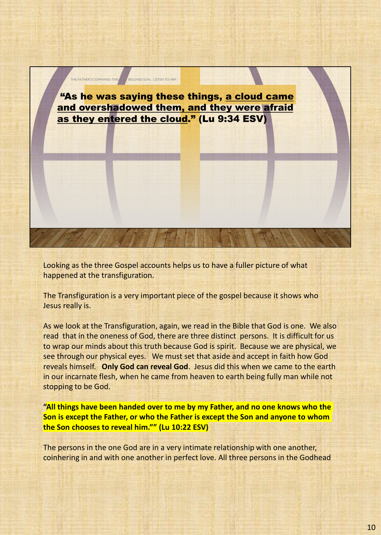

Looking as the three Gospel accounts helps us to have a fuller picture of what happened at the transfiguration.

The Transfiguration is a very important piece of the gospel because it shows who Jesus really is.

As we look at the Transfiguration, again, we read in the Bible that God is one. We also read that in the oneness of God, there are three distinct persons. It is difficult for us to wrap our minds about this truth because God is spirit. Because we are physical, we see through our physical eyes. We must set that aside and accept in faith how God reveals himself. **Only God can reveal God**. Jesus did this when we came to the earth in our incarnate flesh, when he came from heaven to earth being fully man while not stopping to be God.

**"All things have been handed over to me by my Father, and no one knows who the Son is except the Father, or who the Father is except the Son and anyone to whom the Son chooses to reveal him."" (Lu 10:22 ESV)**

The persons in the one God are in a very intimate relationship with one another, coinhering in and with one another in perfect love. All three persons in the Godhead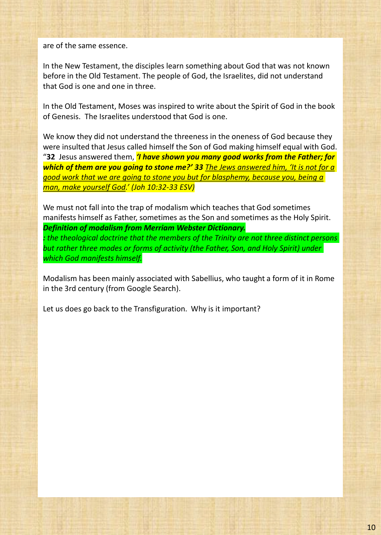are of the same essence.

In the New Testament, the disciples learn something about God that was not known before in the Old Testament. The people of God, the Israelites, did not understand that God is one and one in three.

In the Old Testament, Moses was inspired to write about the Spirit of God in the book of Genesis. The Israelites understood that God is one.

We know they did not understand the threeness in the oneness of God because they were insulted that Jesus called himself the Son of God making himself equal with God. "**32** Jesus answered them, *'I have shown you many good works from the Father; for which of them are you going to stone me?' 33 The Jews answered him, 'It is not for a good work that we are going to stone you but for blasphemy, because you, being a man, make yourself God.' (Joh 10:32-33 ESV)*

We must not fall into the trap of modalism which teaches that God sometimes manifests himself as Father, sometimes as the Son and sometimes as the Holy Spirit. *Definition of modalism from Merriam Webster Dictionary. : the theological doctrine that the members of the Trinity are not three distinct persons* 

*but rather three modes or forms of activity (the Father, Son, and Holy Spirit) under which God manifests himself.*

Modalism has been mainly associated with Sabellius, who taught a form of it in Rome in the 3rd century (from Google Search).

Let us does go back to the Transfiguration. Why is it important?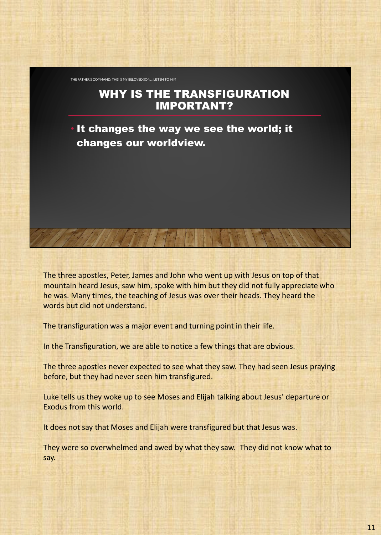THE FATHER'S COMMAND: THIS IS MY BELOVED SON... LISTEN TO HIM

#### WHY IS THE TRANSFIGURATION IMPORTANT?

It changes the way we see the world; it changes our worldview.

The three apostles, Peter, James and John who went up with Jesus on top of that mountain heard Jesus, saw him, spoke with him but they did not fully appreciate who he was. Many times, the teaching of Jesus was over their heads. They heard the words but did not understand.

The transfiguration was a major event and turning point in their life.

In the Transfiguration, we are able to notice a few things that are obvious.

The three apostles never expected to see what they saw. They had seen Jesus praying before, but they had never seen him transfigured.

Luke tells us they woke up to see Moses and Elijah talking about Jesus' departure or Exodus from this world.

It does not say that Moses and Elijah were transfigured but that Jesus was.

They were so overwhelmed and awed by what they saw. They did not know what to say.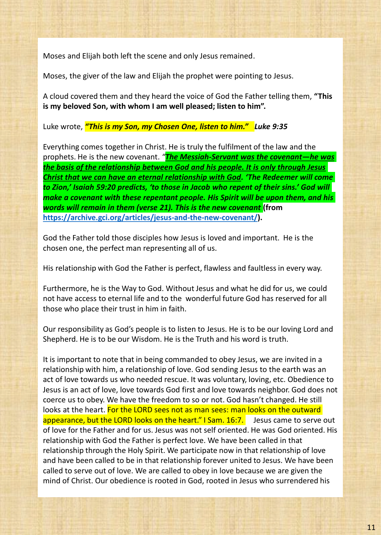Moses and Elijah both left the scene and only Jesus remained.

Moses, the giver of the law and Elijah the prophet were pointing to Jesus.

A cloud covered them and they heard the voice of God the Father telling them, **"This is my beloved Son, with whom I am well pleased; listen to him".** 

Luke wrote, *"This is my Son, my Chosen One, listen to him." Luke 9:35*

Everything comes together in Christ. He is truly the fulfilment of the law and the prophets. He is the new covenant. *"The Messiah-Servant was the covenant—he was the basis of the relationship between God and his people. It is only through Jesus Christ that we can have an eternal relationship with God. 'The Redeemer will come to Zion,' Isaiah 59:20 predicts, 'to those in Jacob who repent of their sins.' God will make a covenant with these repentant people. His Spirit will be upon them, and his words will remain in them (verse 21). This is the new covenant* **(from https://archive.gci.org/articles/jesus-and-the-new-covenant/).**

God the Father told those disciples how Jesus is loved and important. He is the chosen one, the perfect man representing all of us.

His relationship with God the Father is perfect, flawless and faultless in every way.

Furthermore, he is the Way to God. Without Jesus and what he did for us, we could not have access to eternal life and to the wonderful future God has reserved for all those who place their trust in him in faith.

Our responsibility as God's people is to listen to Jesus. He is to be our loving Lord and Shepherd. He is to be our Wisdom. He is the Truth and his word is truth.

It is important to note that in being commanded to obey Jesus, we are invited in a relationship with him, a relationship of love. God sending Jesus to the earth was an act of love towards us who needed rescue. It was voluntary, loving, etc. Obedience to Jesus is an act of love, love towards God first and love towards neighbor. God does not coerce us to obey. We have the freedom to so or not. God hasn't changed. He still looks at the heart. For the LORD sees not as man sees: man looks on the outward appearance, but the LORD looks on the heart." I Sam. 16:7. Jesus came to serve out of love for the Father and for us. Jesus was not self oriented. He was God oriented. His relationship with God the Father is perfect love. We have been called in that relationship through the Holy Spirit. We participate now in that relationship of love and have been called to be in that relationship forever united to Jesus. We have been called to serve out of love. We are called to obey in love because we are given the mind of Christ. Our obedience is rooted in God, rooted in Jesus who surrendered his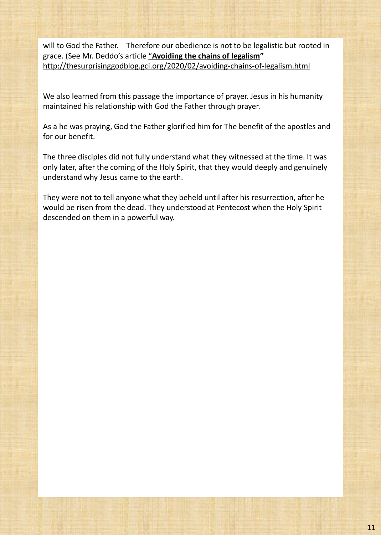will to God the Father. Therefore our obedience is not to be legalistic but rooted in grace. (See Mr. Deddo's article "**Avoiding the chains of legalism"**  http://thesurprisinggodblog.gci.org/2020/02/avoiding-chains-of-legalism.html

We also learned from this passage the importance of prayer. Jesus in his humanity maintained his relationship with God the Father through prayer.

As a he was praying, God the Father glorified him for The benefit of the apostles and for our benefit.

The three disciples did not fully understand what they witnessed at the time. It was only later, after the coming of the Holy Spirit, that they would deeply and genuinely understand why Jesus came to the earth.

They were not to tell anyone what they beheld until after his resurrection, after he would be risen from the dead. They understood at Pentecost when the Holy Spirit descended on them in a powerful way.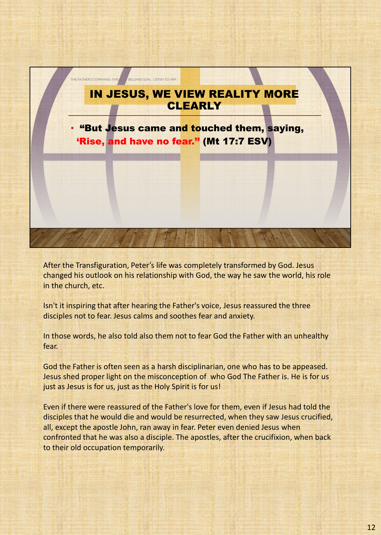

After the Transfiguration, Peter's life was completely transformed by God. Jesus changed his outlook on his relationship with God, the way he saw the world, his role in the church, etc.

Isn't it inspiring that after hearing the Father's voice, Jesus reassured the three disciples not to fear. Jesus calms and soothes fear and anxiety.

In those words, he also told also them not to fear God the Father with an unhealthy fear.

God the Father is often seen as a harsh disciplinarian, one who has to be appeased. Jesus shed proper light on the misconception of who God The Father is. He is for us just as Jesus is for us, just as the Holy Spirit is for us!

Even if there were reassured of the Father's love for them, even if Jesus had told the disciples that he would die and would be resurrected, when they saw Jesus crucified, all, except the apostle John, ran away in fear. Peter even denied Jesus when confronted that he was also a disciple. The apostles, after the crucifixion, when back to their old occupation temporarily.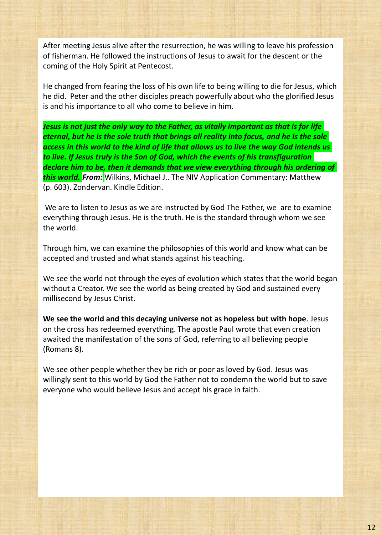After meeting Jesus alive after the resurrection, he was willing to leave his profession of fisherman. He followed the instructions of Jesus to await for the descent or the coming of the Holy Spirit at Pentecost.

He changed from fearing the loss of his own life to being willing to die for Jesus, which he did. Peter and the other disciples preach powerfully about who the glorified Jesus is and his importance to all who come to believe in him.

*Jesus is not just the only way to the Father, as vitally important as that is for life eternal, but he is the sole truth that brings all reality into focus, and he is the sole access in this world to the kind of life that allows us to live the way God intends us to live. If Jesus truly is the Son of God, which the events of his transfiguration declare him to be, then it demands that we view everything through his ordering of this world. From:* Wilkins, Michael J.. The NIV Application Commentary: Matthew (p. 603). Zondervan. Kindle Edition.

We are to listen to Jesus as we are instructed by God The Father, we are to examine everything through Jesus. He is the truth. He is the standard through whom we see the world.

Through him, we can examine the philosophies of this world and know what can be accepted and trusted and what stands against his teaching.

We see the world not through the eyes of evolution which states that the world began without a Creator. We see the world as being created by God and sustained every millisecond by Jesus Christ.

**We see the world and this decaying universe not as hopeless but with hope**. Jesus on the cross has redeemed everything. The apostle Paul wrote that even creation awaited the manifestation of the sons of God, referring to all believing people (Romans 8).

We see other people whether they be rich or poor as loved by God. Jesus was willingly sent to this world by God the Father not to condemn the world but to save everyone who would believe Jesus and accept his grace in faith.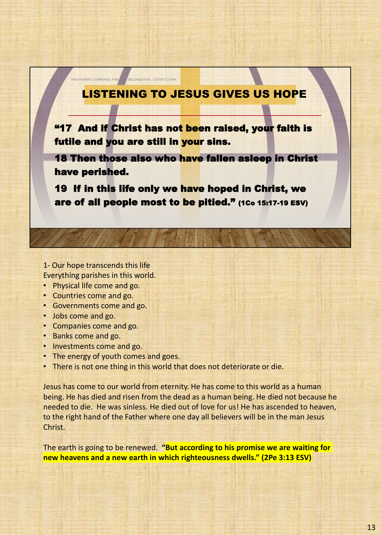## LISTENING TO JESUS GIVES US HOPE

"17 And if Christ has not been raised, your faith is futile and you are still in your sins.

18 Then those also who have fallen asleep in Christ have perished.

19 If in this life only we have hoped in Christ, we are of all people most to be pitied." (1Co 15:17-19 ESV)

1- Our hope transcends this life Everything parishes in this world.

THE FATHER'S COMMAND: THIS BELOVED SON... LISTEN TO HIM

- Physical life come and go.
- Countries come and go.
- Governments come and go.
- Jobs come and go.
- Companies come and go.
- Banks come and go.
- Investments come and go.
- The energy of youth comes and goes.
- There is not one thing in this world that does not deteriorate or die.

Jesus has come to our world from eternity. He has come to this world as a human being. He has died and risen from the dead as a human being. He died not because he needed to die. He was sinless. He died out of love for us! He has ascended to heaven, to the right hand of the Father where one day all believers will be in the man Jesus Christ.

The earth is going to be renewed. **"But according to his promise we are waiting for new heavens and a new earth in which righteousness dwells." (2Pe 3:13 ESV)**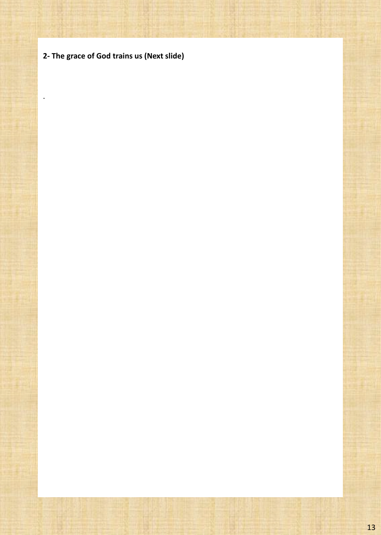**2- The grace of God trains us (Next slide)**

.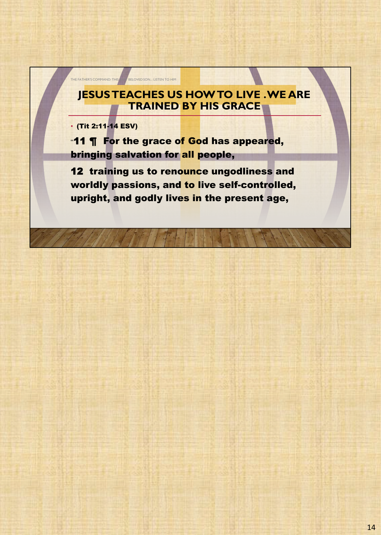## **JESUS TEACHES US HOW TO LIVE . WE ARE TRAINED BY HIS GRACE**

• (Tit 2:11-14 ESV)

THE FATHER'S COMMAND: THIS **ANDER ONE OF SON...** LISTEN TO HIM

"11 **¶** For the grace of God has appeared, bringing salvation for all people,

12 training us to renounce ungodliness and worldly passions, and to live self-controlled, upright, and godly lives in the present age,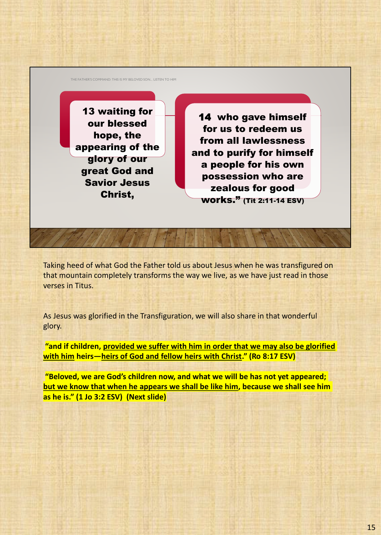THE FATHER'S COMMAND: THIS IS MY BELOVED SON... LISTEN TO HIM

13 waiting for our blessed hope, the appearing of the glory of our great God and Savior Jesus Christ,

14 who gave himself for us to redeem us from all lawlessness and to purify for himself a people for his own possession who are zealous for good works." (Tit 2:11-14 ESV)

Taking heed of what God the Father told us about Jesus when he was transfigured on that mountain completely transforms the way we live, as we have just read in those verses in Titus.

As Jesus was glorified in the Transfiguration, we will also share in that wonderful glory.

**"and if children, provided we suffer with him in order that we may also be glorified with him heirs—heirs of God and fellow heirs with Christ." (Ro 8:17 ESV)**

**"Beloved, we are God's children now, and what we will be has not yet appeared; but we know that when he appears we shall be like him, because we shall see him as he is." (1 Jo 3:2 ESV) (Next slide)**